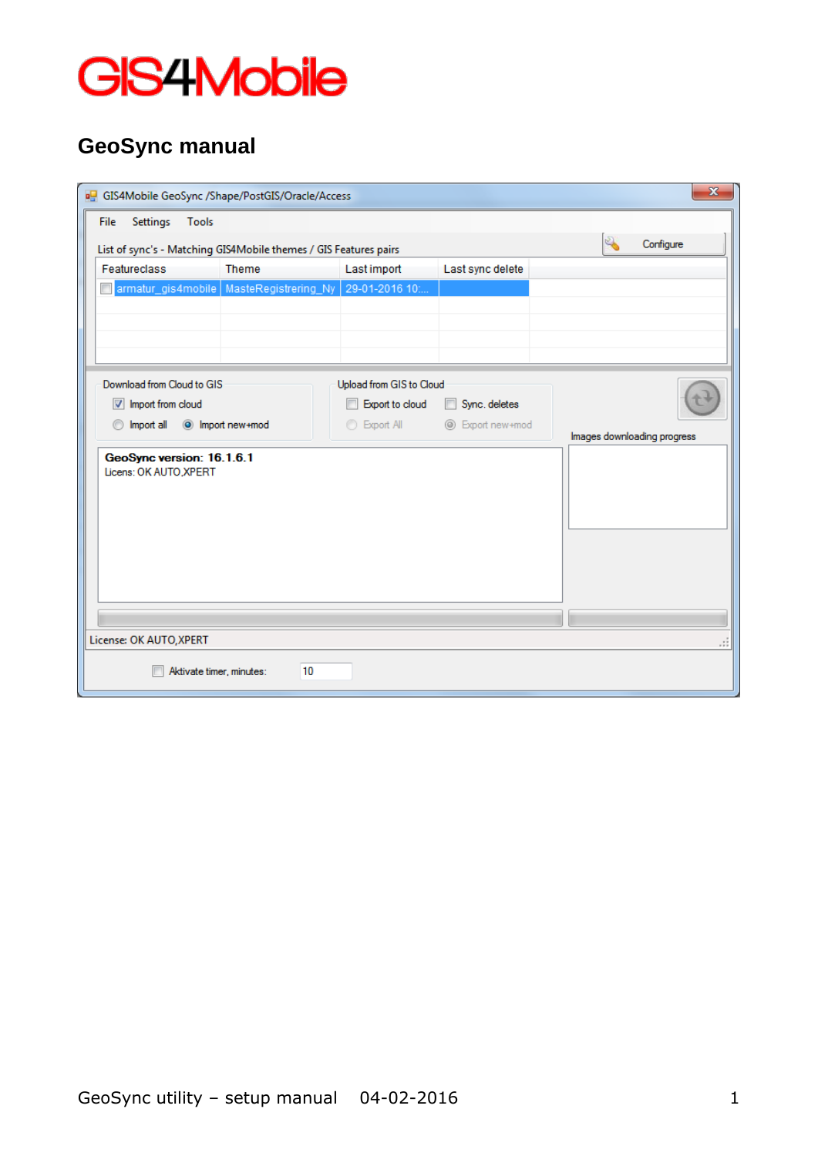

## **GeoSync manual**

| $\mathbf{x}$<br>GIS4Mobile GeoSync /Shape/PostGIS/Oracle/Access                                                   |                                                                        |                          |                                           |                           |  |  |
|-------------------------------------------------------------------------------------------------------------------|------------------------------------------------------------------------|--------------------------|-------------------------------------------|---------------------------|--|--|
| Settings<br>Tools<br><b>File</b>                                                                                  |                                                                        |                          |                                           |                           |  |  |
| List of sync's - Matching GIS4Mobile themes / GIS Features pairs                                                  |                                                                        |                          |                                           | $\mathbb{Z}$<br>Configure |  |  |
| Featureclass                                                                                                      | Theme                                                                  | <b>Last import</b>       | Last sync delete                          |                           |  |  |
|                                                                                                                   | armatur_gis4mobile   MasteRegistrering_Ny                              | 29-01-2016 10:           |                                           |                           |  |  |
|                                                                                                                   |                                                                        |                          |                                           |                           |  |  |
|                                                                                                                   |                                                                        |                          |                                           |                           |  |  |
|                                                                                                                   |                                                                        |                          |                                           |                           |  |  |
| Download from Cloud to GIS                                                                                        |                                                                        | Upload from GIS to Cloud |                                           |                           |  |  |
| Import from cloud                                                                                                 |                                                                        | Export to cloud          | Sync. deletes<br>$\overline{\phantom{a}}$ |                           |  |  |
|                                                                                                                   | <b>Export All</b><br>nport all<br>O Import new+mod<br>© Export new+mod |                          |                                           |                           |  |  |
| Images downloading progress<br>GeoSync version: 16.1.6.1<br>Licens: OK AUTO.XPERT<br>License: OK AUTO, XPERT<br>. |                                                                        |                          |                                           |                           |  |  |
|                                                                                                                   |                                                                        |                          |                                           |                           |  |  |
| Aktivate timer, minutes:                                                                                          | 10                                                                     |                          |                                           |                           |  |  |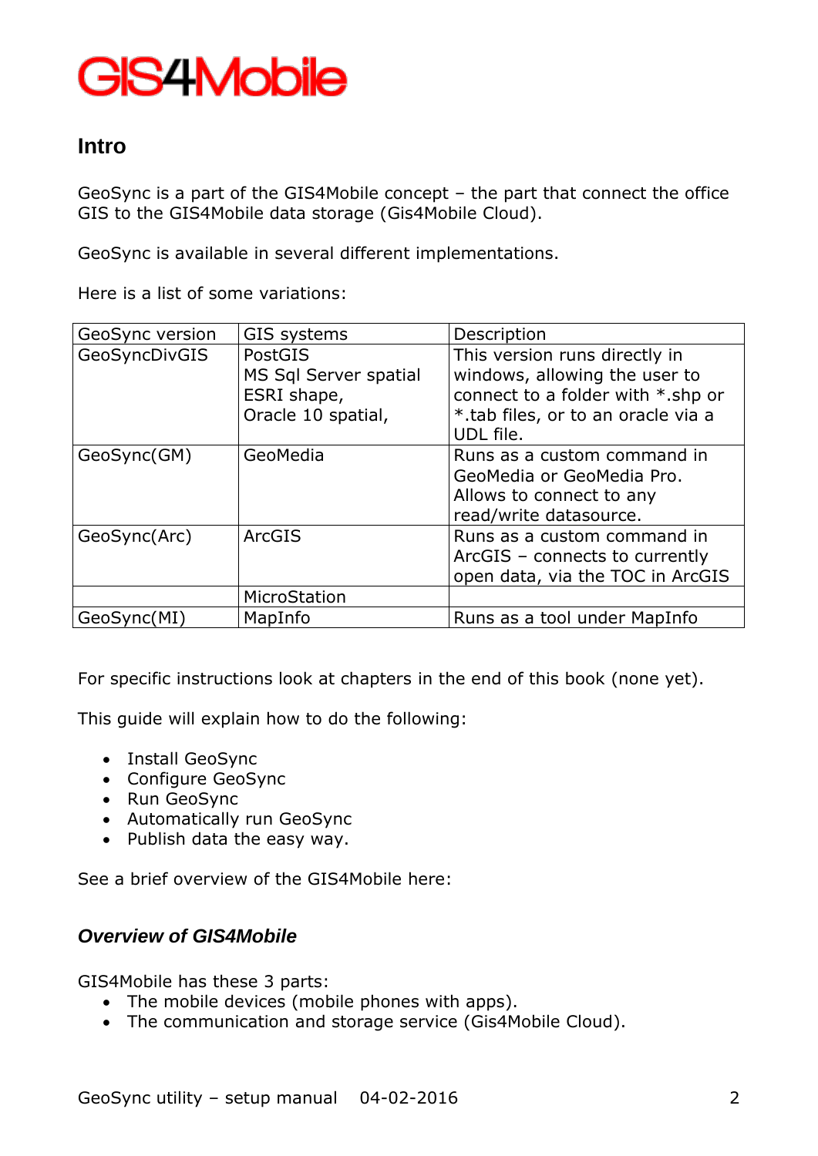### **Intro**

GeoSync is a part of the GIS4Mobile concept – the part that connect the office GIS to the GIS4Mobile data storage (Gis4Mobile Cloud).

GeoSync is available in several different implementations.

Here is a list of some variations:

| GeoSync version | GIS systems                                                           | Description                                                                                                                                            |
|-----------------|-----------------------------------------------------------------------|--------------------------------------------------------------------------------------------------------------------------------------------------------|
| GeoSyncDivGIS   | PostGIS<br>MS Sql Server spatial<br>ESRI shape,<br>Oracle 10 spatial, | This version runs directly in<br>windows, allowing the user to<br>connect to a folder with *.shp or<br>*.tab files, or to an oracle via a<br>UDL file. |
| GeoSync(GM)     | GeoMedia                                                              | Runs as a custom command in<br>GeoMedia or GeoMedia Pro.<br>Allows to connect to any<br>read/write datasource.                                         |
| GeoSync(Arc)    | <b>ArcGIS</b>                                                         | Runs as a custom command in<br>ArcGIS - connects to currently<br>open data, via the TOC in ArcGIS                                                      |
|                 | MicroStation                                                          |                                                                                                                                                        |
| GeoSync(MI)     | MapInfo                                                               | Runs as a tool under MapInfo                                                                                                                           |

For specific instructions look at chapters in the end of this book (none yet).

This guide will explain how to do the following:

- Install GeoSync
- Configure GeoSync
- Run GeoSync
- Automatically run GeoSync
- Publish data the easy way.

See a brief overview of the GIS4Mobile here:

### *Overview of GIS4Mobile*

GIS4Mobile has these 3 parts:

- The mobile devices (mobile phones with apps).
- The communication and storage service (Gis4Mobile Cloud).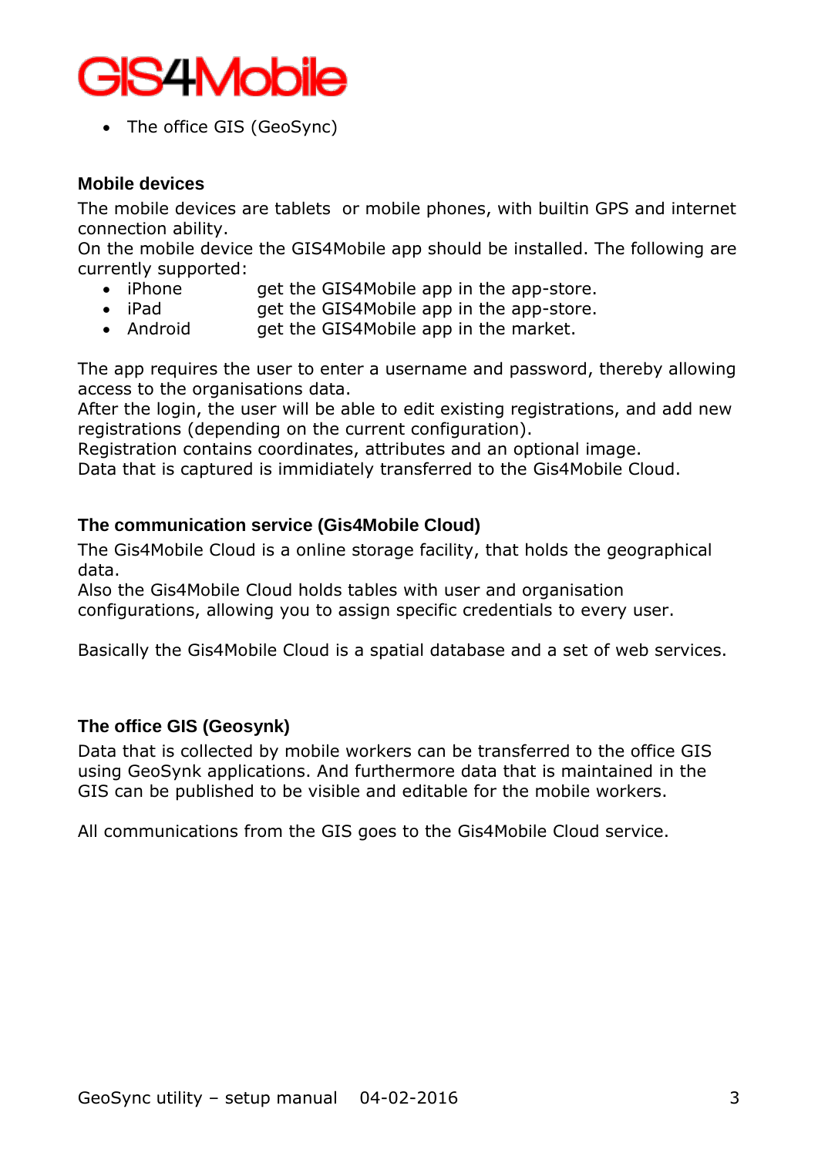

• The office GIS (GeoSync)

#### **Mobile devices**

The mobile devices are tablets or mobile phones, with builtin GPS and internet connection ability.

On the mobile device the GIS4Mobile app should be installed. The following are currently supported:

- iPhone get the GIS4Mobile app in the app-store.
- iPad **get the GIS4Mobile app in the app-store.**
- Android get the GIS4Mobile app in the market.

The app requires the user to enter a username and password, thereby allowing access to the organisations data.

After the login, the user will be able to edit existing registrations, and add new registrations (depending on the current configuration).

Registration contains coordinates, attributes and an optional image.

Data that is captured is immidiately transferred to the Gis4Mobile Cloud.

#### **The communication service (Gis4Mobile Cloud)**

The Gis4Mobile Cloud is a online storage facility, that holds the geographical data.

Also the Gis4Mobile Cloud holds tables with user and organisation configurations, allowing you to assign specific credentials to every user.

Basically the Gis4Mobile Cloud is a spatial database and a set of web services.

#### **The office GIS (Geosynk)**

Data that is collected by mobile workers can be transferred to the office GIS using GeoSynk applications. And furthermore data that is maintained in the GIS can be published to be visible and editable for the mobile workers.

All communications from the GIS goes to the Gis4Mobile Cloud service.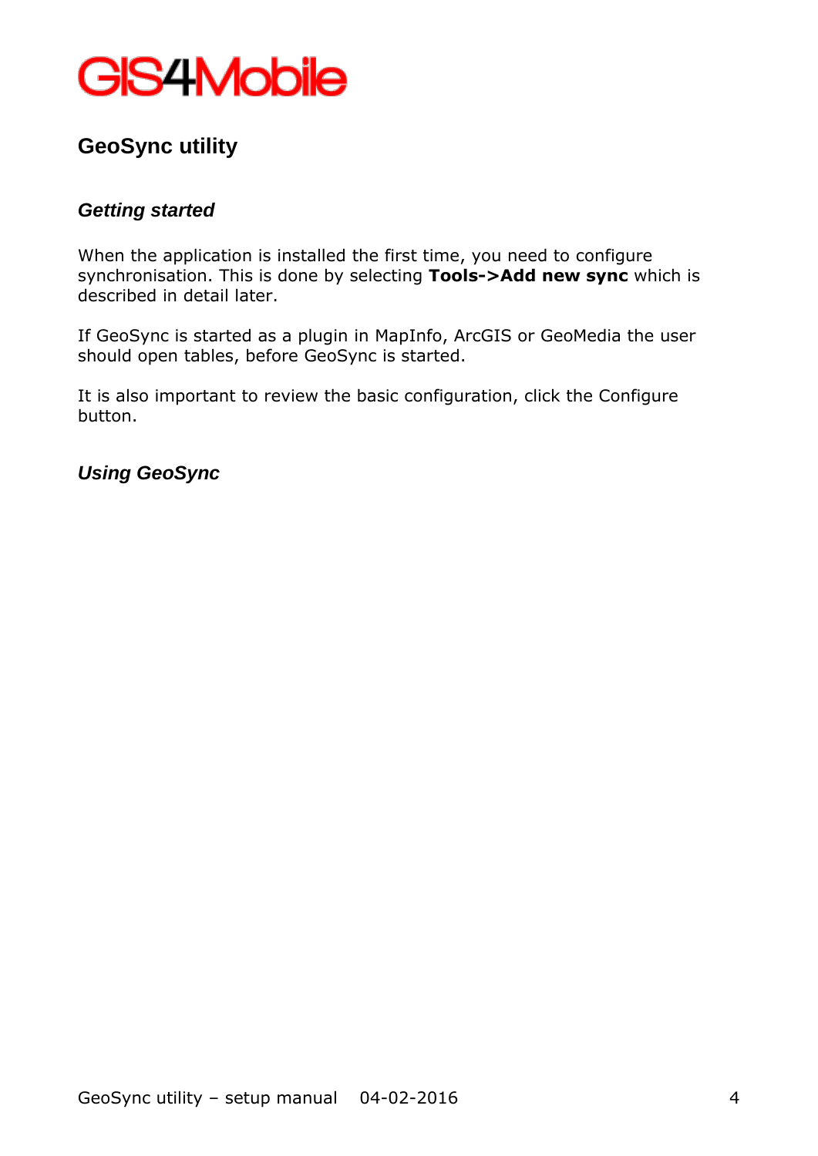

## **GeoSync utility**

### *Getting started*

When the application is installed the first time, you need to configure synchronisation. This is done by selecting **Tools->Add new sync** which is described in detail later.

If GeoSync is started as a plugin in MapInfo, ArcGIS or GeoMedia the user should open tables, before GeoSync is started.

It is also important to review the basic configuration, click the Configure button.

### *Using GeoSync*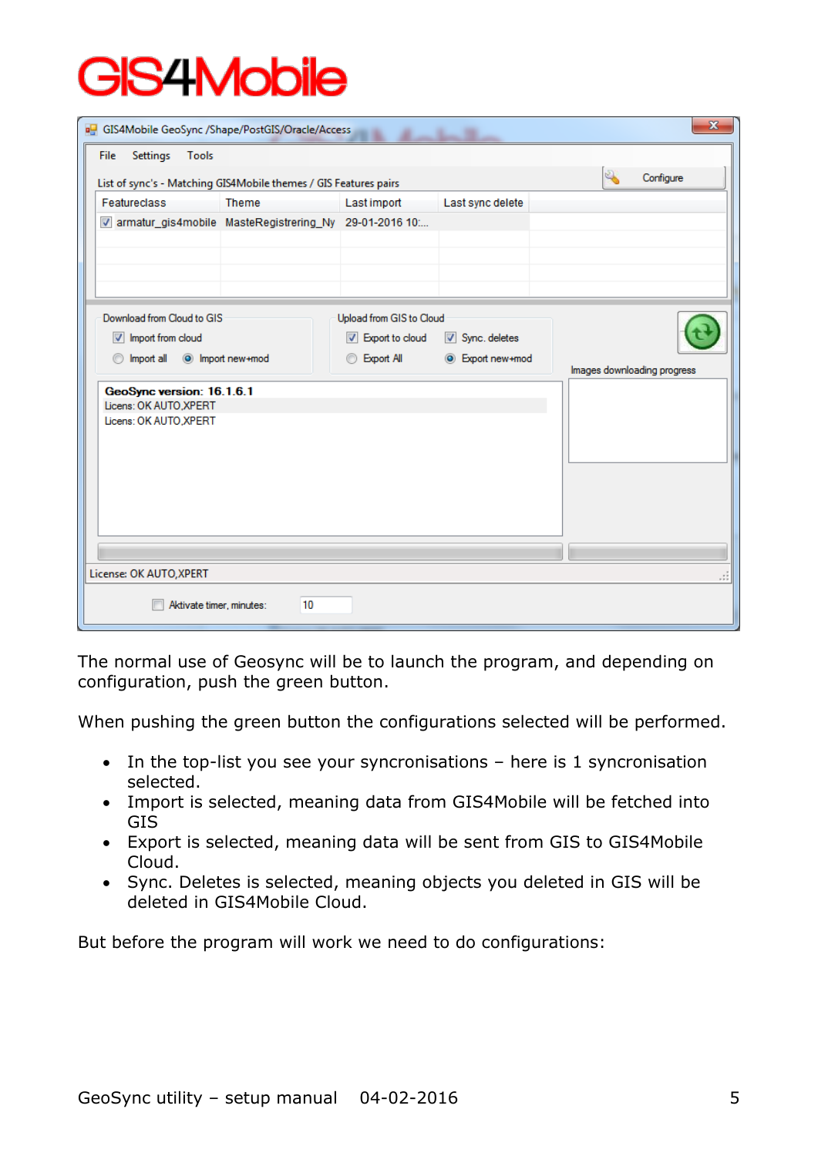| GIS4Mobile GeoSync /Shape/PostGIS/Oracle/Access                  |                  |                          |                  | $\mathbf{x}$                |
|------------------------------------------------------------------|------------------|--------------------------|------------------|-----------------------------|
| Settings<br>Tools<br>File                                        |                  |                          |                  |                             |
| List of sync's - Matching GIS4Mobile themes / GIS Features pairs |                  |                          |                  | Configure                   |
| <b>Featureclass</b>                                              | <b>Theme</b>     | Last import              | Last sync delete |                             |
| V armatur_gis4mobile MasteRegistrering_Ny 29-01-2016 10:         |                  |                          |                  |                             |
|                                                                  |                  |                          |                  |                             |
|                                                                  |                  |                          |                  |                             |
|                                                                  |                  |                          |                  |                             |
| Download from Cloud to GIS                                       |                  | Upload from GIS to Cloud |                  |                             |
| $\triangledown$ Import from cloud                                |                  | Deport to cloud          | Sync. deletes    |                             |
| Import all<br>⊙                                                  | O Import new+mod | <b>Export All</b>        | C Export new+mod | Images downloading progress |
| GeoSync version: 16.1.6.1                                        |                  |                          |                  |                             |
| Licens: OK AUTO, XPERT<br>Licens: OK AUTO, XPERT                 |                  |                          |                  |                             |
|                                                                  |                  |                          |                  |                             |
|                                                                  |                  |                          |                  |                             |
|                                                                  |                  |                          |                  |                             |
|                                                                  |                  |                          |                  |                             |
|                                                                  |                  |                          |                  |                             |
|                                                                  |                  |                          |                  |                             |
| License: OK AUTO, XPERT                                          |                  |                          |                  | - 11                        |
| Aktivate timer, minutes:                                         | 10               |                          |                  |                             |
|                                                                  |                  |                          |                  |                             |

The normal use of Geosync will be to launch the program, and depending on configuration, push the green button.

When pushing the green button the configurations selected will be performed.

- $\bullet$  In the top-list you see your syncronisations here is 1 syncronisation selected.
- Import is selected, meaning data from GIS4Mobile will be fetched into GIS
- Export is selected, meaning data will be sent from GIS to GIS4Mobile Cloud.
- Sync. Deletes is selected, meaning objects you deleted in GIS will be deleted in GIS4Mobile Cloud.

But before the program will work we need to do configurations: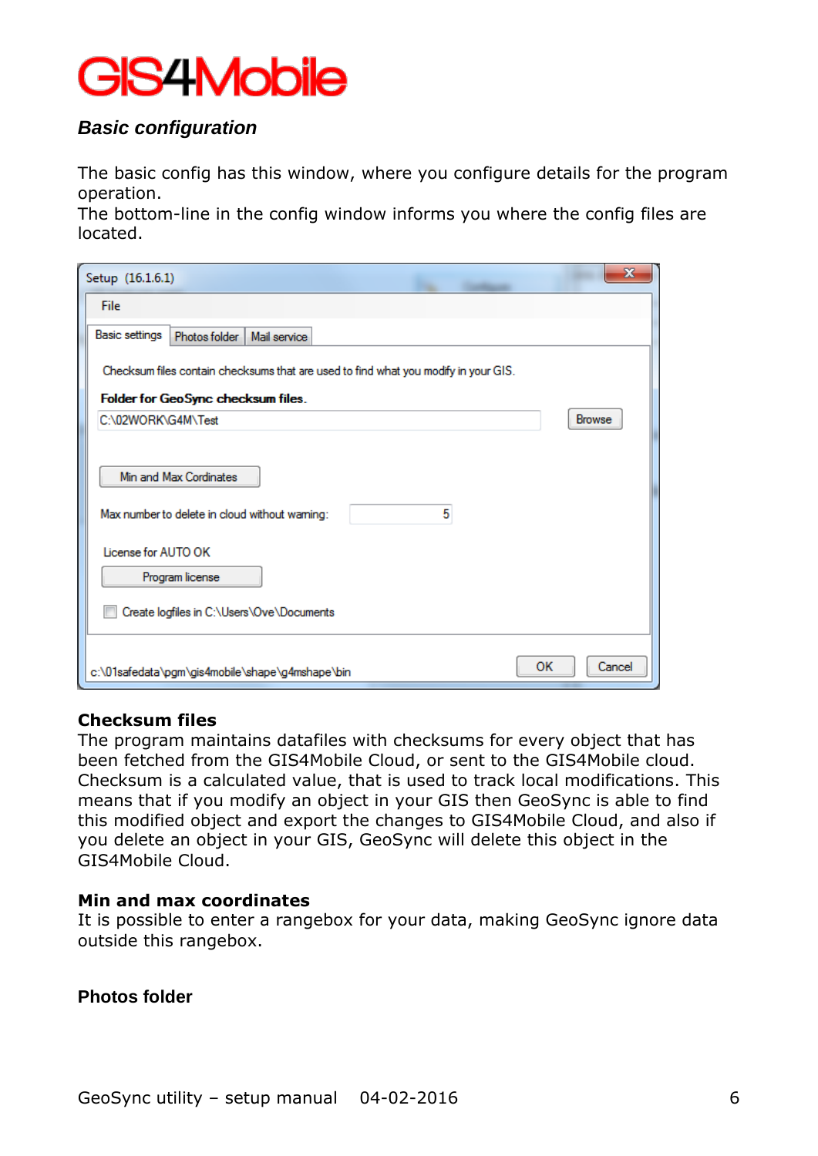### *Basic configuration*

The basic config has this window, where you configure details for the program operation.

The bottom-line in the config window informs you where the config files are located.

| Setup (16.1.6.1)                                                                    |               |
|-------------------------------------------------------------------------------------|---------------|
| File                                                                                |               |
| <b>Basic settings</b><br>Photos folder<br>Mail service                              |               |
| Checksum files contain checksums that are used to find what you modify in your GIS. |               |
| Folder for GeoSync checksum files.                                                  |               |
| C:\02WORK\G4M\Test                                                                  | <b>Browse</b> |
|                                                                                     |               |
| Min and Max Cordinates                                                              |               |
| 5<br>Max number to delete in cloud without warning:                                 |               |
| License for AUTO OK                                                                 |               |
| Program license                                                                     |               |
| Create logfiles in C:\Users\Ove\Documents                                           |               |
|                                                                                     |               |
| c:\01safedata\pgm\gis4mobile\shape\g4mshape\bin                                     | ок<br>Cancel  |

#### **Checksum files**

The program maintains datafiles with checksums for every object that has been fetched from the GIS4Mobile Cloud, or sent to the GIS4Mobile cloud. Checksum is a calculated value, that is used to track local modifications. This means that if you modify an object in your GIS then GeoSync is able to find this modified object and export the changes to GIS4Mobile Cloud, and also if you delete an object in your GIS, GeoSync will delete this object in the GIS4Mobile Cloud.

#### **Min and max coordinates**

It is possible to enter a rangebox for your data, making GeoSync ignore data outside this rangebox.

#### **Photos folder**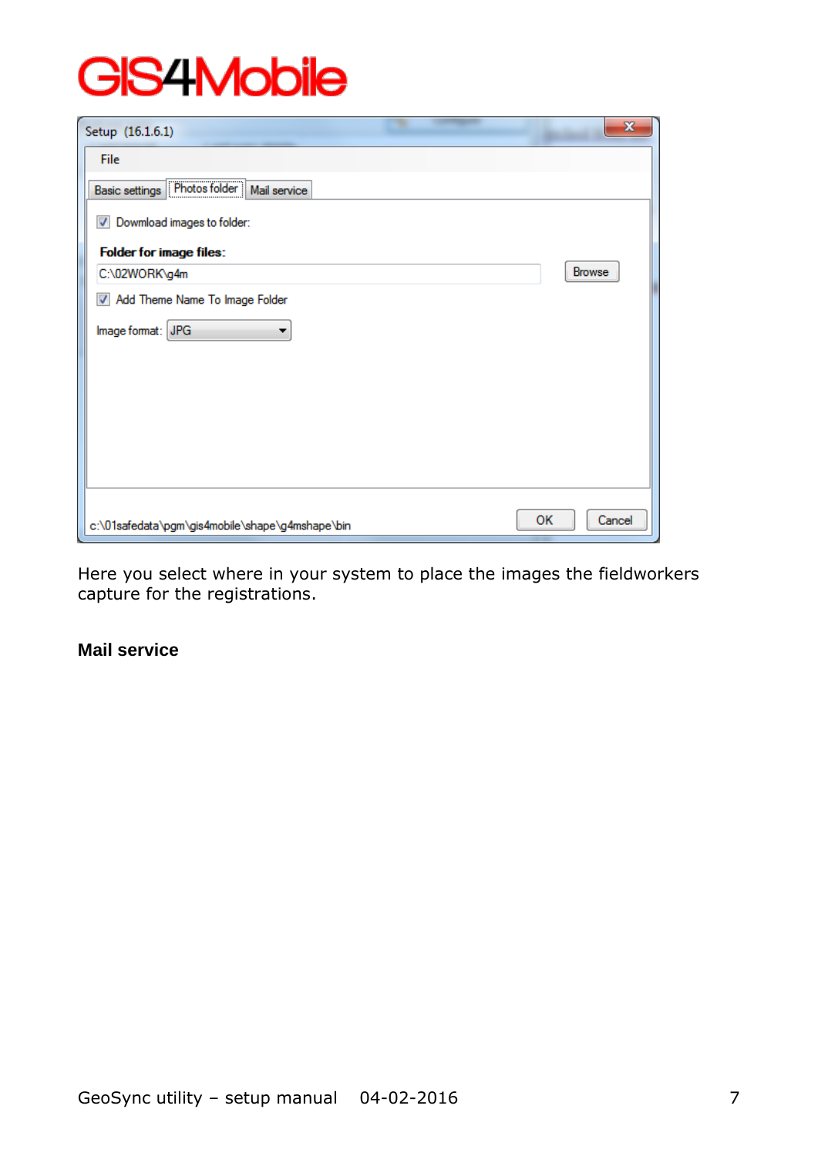| Setup (16.1.6.1)                                | $\mathbf{x}$        |
|-------------------------------------------------|---------------------|
| File                                            |                     |
| Basic settings Photos folder   Mail service     |                     |
| V Dowmload images to folder:                    |                     |
| <b>Folder for image files:</b>                  |                     |
| C:\02WORK\g4m                                   | Browse              |
| Add Theme Name To Image Folder                  |                     |
| Image format: JPG<br>▼                          |                     |
|                                                 |                     |
|                                                 |                     |
|                                                 |                     |
|                                                 |                     |
|                                                 |                     |
|                                                 |                     |
| c:\01safedata\pgm\gis4mobile\shape\g4mshape\bin | <b>OK</b><br>Cancel |

Here you select where in your system to place the images the fieldworkers capture for the registrations.

### **Mail service**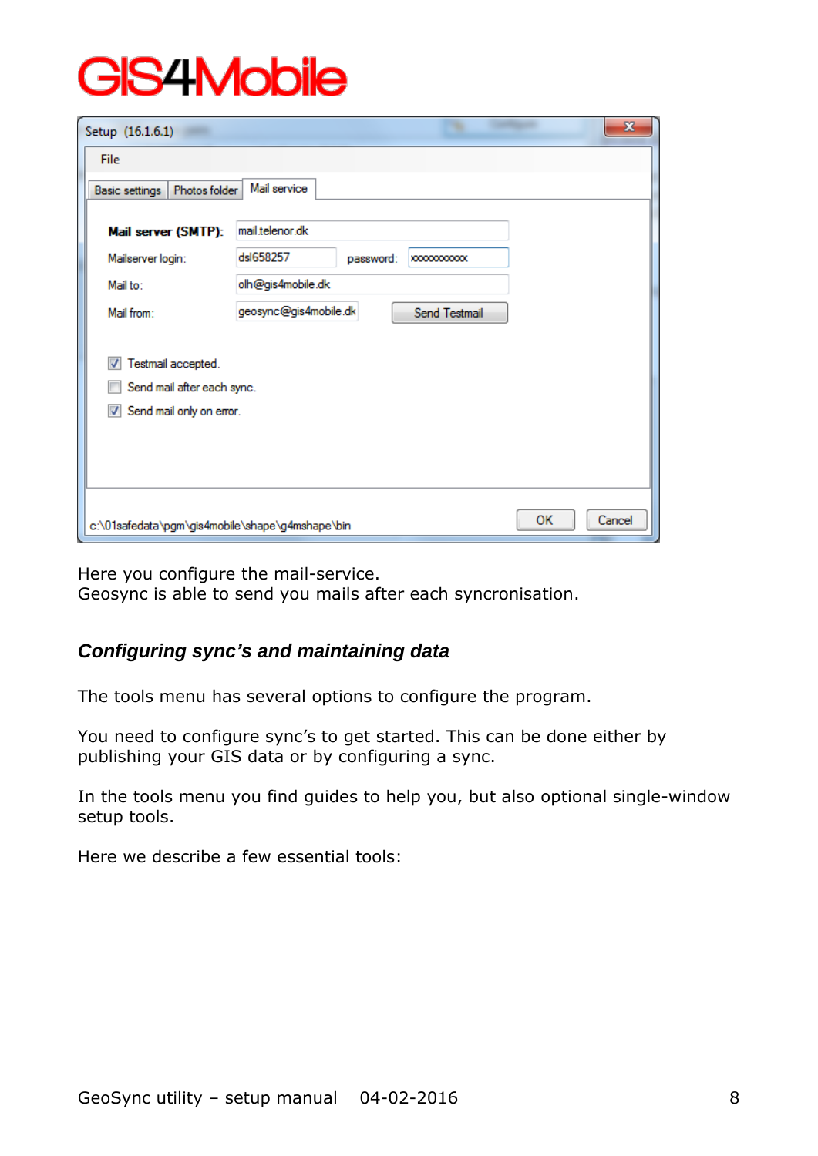| Setup (16.1.6.1)                                                                                              |                       |           |                    |    | $\mathbf{x}$ |
|---------------------------------------------------------------------------------------------------------------|-----------------------|-----------|--------------------|----|--------------|
| File                                                                                                          |                       |           |                    |    |              |
| Photos folder<br><b>Basic settings</b>                                                                        | Mail service          |           |                    |    |              |
| Mail server (SMTP):                                                                                           | mail.telenor.dk       |           |                    |    |              |
| Mailserver login:                                                                                             | dsl658257             | password: | <b>XXXXXXXXXXX</b> |    |              |
| Mail to:                                                                                                      | olh@gis4mobile.dk     |           |                    |    |              |
| Mail from:                                                                                                    | geosync@gis4mobile.dk |           | Send Testmail      |    |              |
| Testmail accepted.<br>√<br>Send mail after each sync.<br>Send mail only on error.<br>$\overline{\mathcal{A}}$ |                       |           |                    |    |              |
| c:\01safedata\pgm\gis4mobile\shape\g4mshape\bin                                                               |                       |           |                    | OK | Cancel       |

Here you configure the mail-service.

Geosync is able to send you mails after each syncronisation.

### *Configuring sync's and maintaining data*

The tools menu has several options to configure the program.

You need to configure sync's to get started. This can be done either by publishing your GIS data or by configuring a sync.

In the tools menu you find guides to help you, but also optional single-window setup tools.

Here we describe a few essential tools: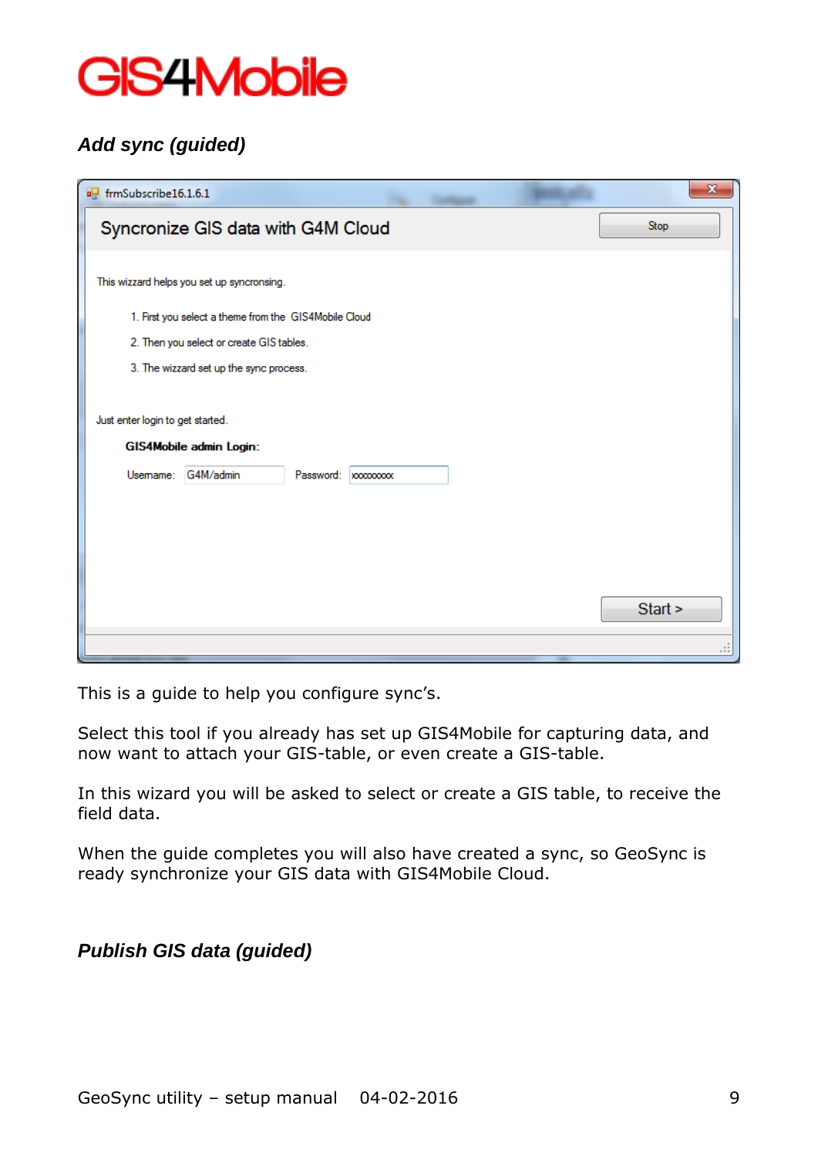

## *Add sync (guided)*

| out frmSubscribe16.1.6.1                              | $\mathbf{x}$ |
|-------------------------------------------------------|--------------|
| Syncronize GIS data with G4M Cloud                    | Stop         |
|                                                       |              |
| This wizzard helps you set up syncronsing.            |              |
| 1. First you select a theme from the GIS4Mobile Cloud |              |
| 2. Then you select or create GIS tables.              |              |
| 3. The wizzard set up the sync process.               |              |
|                                                       |              |
| Just enter login to get started.                      |              |
| GIS4Mobile admin Login:                               |              |
| Usemame:<br>G4M/admin<br>Password:   xxxxxxxx         |              |
|                                                       |              |
|                                                       |              |
|                                                       |              |
|                                                       | Start >      |
|                                                       |              |
|                                                       | .            |

This is a guide to help you configure sync's.

Select this tool if you already has set up GIS4Mobile for capturing data, and now want to attach your GIS-table, or even create a GIS-table.

In this wizard you will be asked to select or create a GIS table, to receive the field data.

When the guide completes you will also have created a sync, so GeoSync is ready synchronize your GIS data with GIS4Mobile Cloud.

*Publish GIS data (guided)*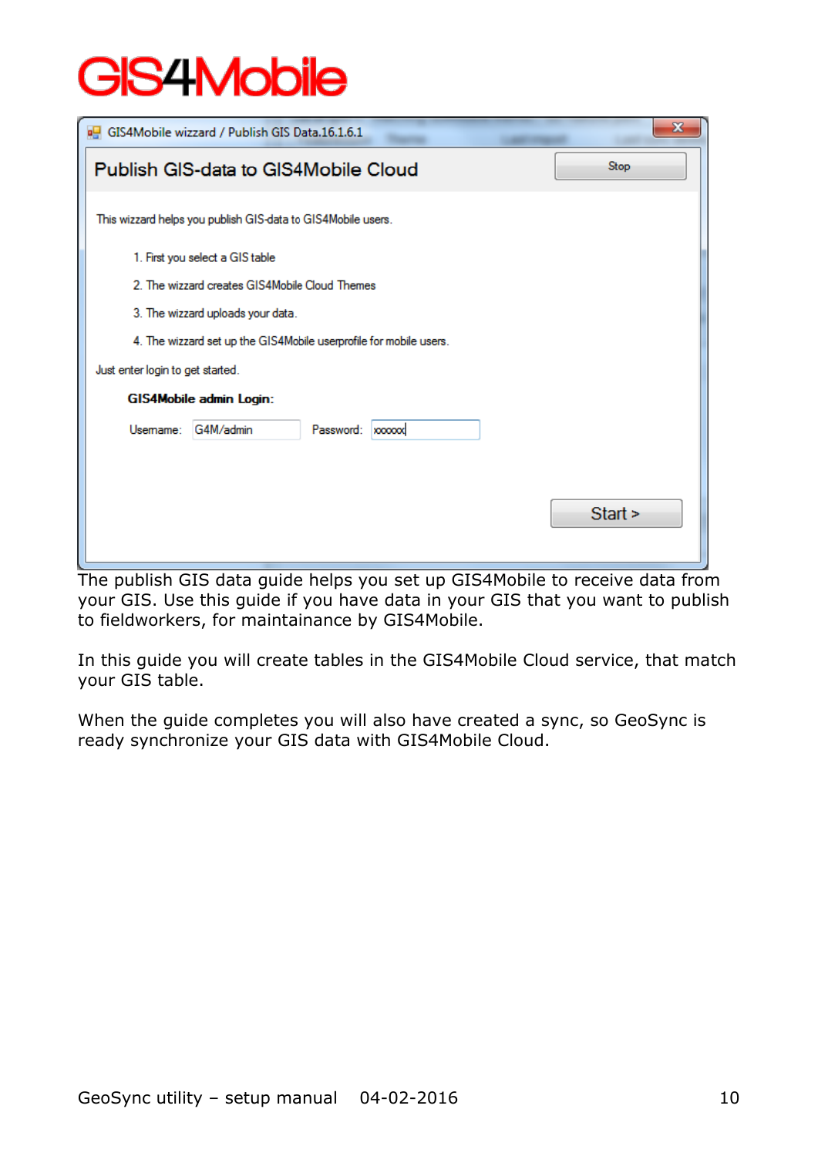|                                                              | GIS4Mobile wizzard / Publish GIS Data.16.1.6.1                     |  |  |  | x |  |  |
|--------------------------------------------------------------|--------------------------------------------------------------------|--|--|--|---|--|--|
| Stop<br>Publish GIS-data to GIS4Mobile Cloud                 |                                                                    |  |  |  |   |  |  |
| This wizzard helps you publish GIS-data to GIS4Mobile users. |                                                                    |  |  |  |   |  |  |
|                                                              | 1. First you select a GIS table                                    |  |  |  |   |  |  |
|                                                              | 2. The wizzard creates GIS4Mobile Cloud Themes                     |  |  |  |   |  |  |
|                                                              | 3. The wizzard uploads your data.                                  |  |  |  |   |  |  |
|                                                              | 4. The wizzard set up the GIS4Mobile userprofile for mobile users. |  |  |  |   |  |  |
| Just enter login to get started.                             |                                                                    |  |  |  |   |  |  |
|                                                              | GIS4Mobile admin Login:                                            |  |  |  |   |  |  |
| Usemame:                                                     | G4M/admin<br>Password:<br><b>xxxxxxx</b>                           |  |  |  |   |  |  |
|                                                              |                                                                    |  |  |  |   |  |  |
|                                                              |                                                                    |  |  |  |   |  |  |
| Start >                                                      |                                                                    |  |  |  |   |  |  |
|                                                              |                                                                    |  |  |  |   |  |  |

The publish GIS data guide helps you set up GIS4Mobile to receive data from your GIS. Use this guide if you have data in your GIS that you want to publish to fieldworkers, for maintainance by GIS4Mobile.

In this guide you will create tables in the GIS4Mobile Cloud service, that match your GIS table.

When the guide completes you will also have created a sync, so GeoSync is ready synchronize your GIS data with GIS4Mobile Cloud.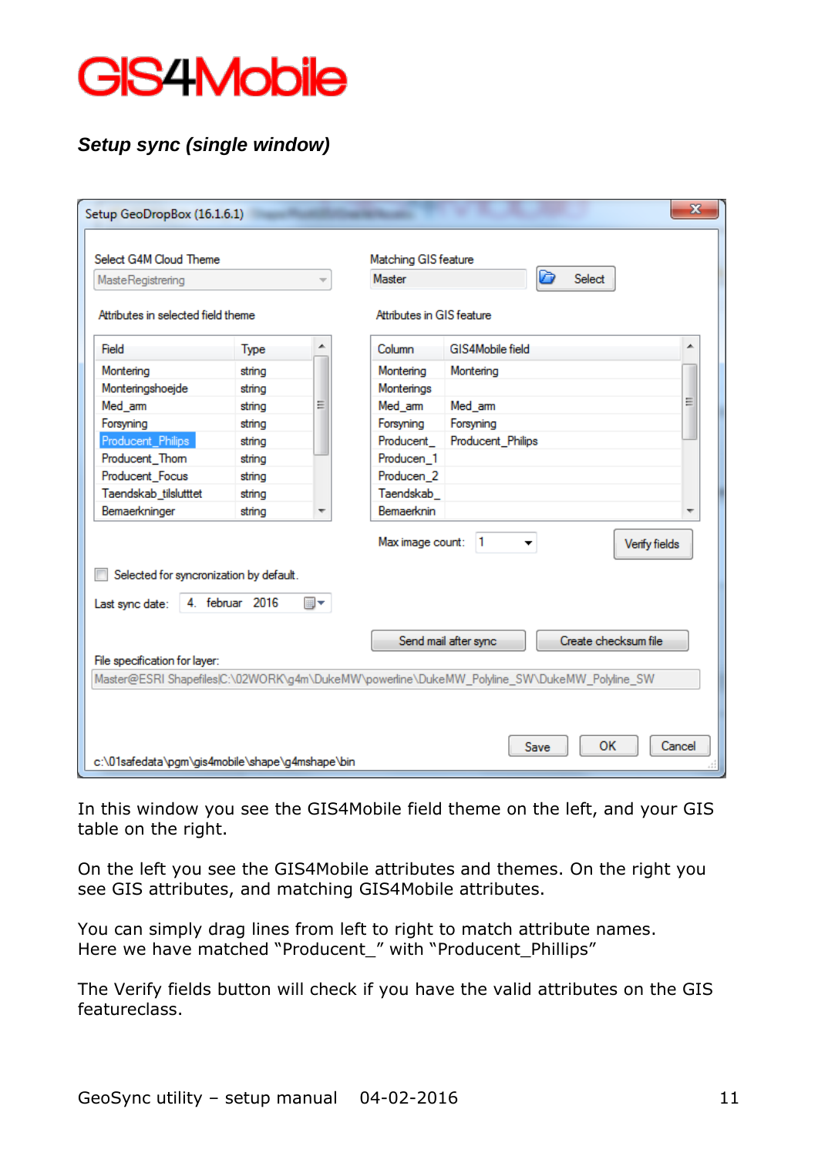

## *Setup sync (single window)*

|                                                            | Select G4M Cloud Theme |    | Matching GIS feature      |                                                                                             |   |
|------------------------------------------------------------|------------------------|----|---------------------------|---------------------------------------------------------------------------------------------|---|
| <b>MasteRegistrering</b>                                   |                        |    | Master                    | D<br>Select                                                                                 |   |
| Attributes in selected field theme                         |                        |    | Attributes in GIS feature |                                                                                             |   |
| Field                                                      | <b>Type</b>            |    | Column                    | GIS4Mobile field                                                                            | ┻ |
| Montering                                                  | string                 |    | Montering                 | Montering                                                                                   |   |
| Monteringshoejde                                           | string                 |    | Monterings                |                                                                                             |   |
| Med_arm                                                    | string                 | Ξ  | Med_arm                   | Med am                                                                                      | Ξ |
| Forsyning                                                  | string                 |    | Forsyning                 | Forsyning                                                                                   |   |
| Producent_Philips                                          | string                 |    | Producent                 | Producent_Philips                                                                           |   |
| Producent_Thom                                             | string                 |    | Producen 1                |                                                                                             |   |
| Producent_Focus                                            | string                 |    | Producen <sub>2</sub>     |                                                                                             |   |
| Taendskab_tilslutttet                                      | string                 |    | Taendskab                 |                                                                                             |   |
| Bemaerkninger                                              | string                 | ┯  | Bemaerknin                |                                                                                             | ▼ |
| Selected for syncronization by default.<br>Last sync date: | 4. februar 2016        | ▦▾ | Max image count:          | $\vert$ 1<br>Verify fields<br>Create checksum file<br>Send mail after sync                  |   |
|                                                            |                        |    |                           |                                                                                             |   |
| File specification for layer:                              |                        |    |                           | Master@ESRI Shapefiles C:\02WORK\g4m\DukeMW\powerline\DukeMW_Polyline_SW\DukeMW_Polyline_SW |   |
|                                                            |                        |    |                           |                                                                                             |   |

In this window you see the GIS4Mobile field theme on the left, and your GIS table on the right.

On the left you see the GIS4Mobile attributes and themes. On the right you see GIS attributes, and matching GIS4Mobile attributes.

You can simply drag lines from left to right to match attribute names. Here we have matched "Producent\_" with "Producent\_Phillips"

The Verify fields button will check if you have the valid attributes on the GIS featureclass.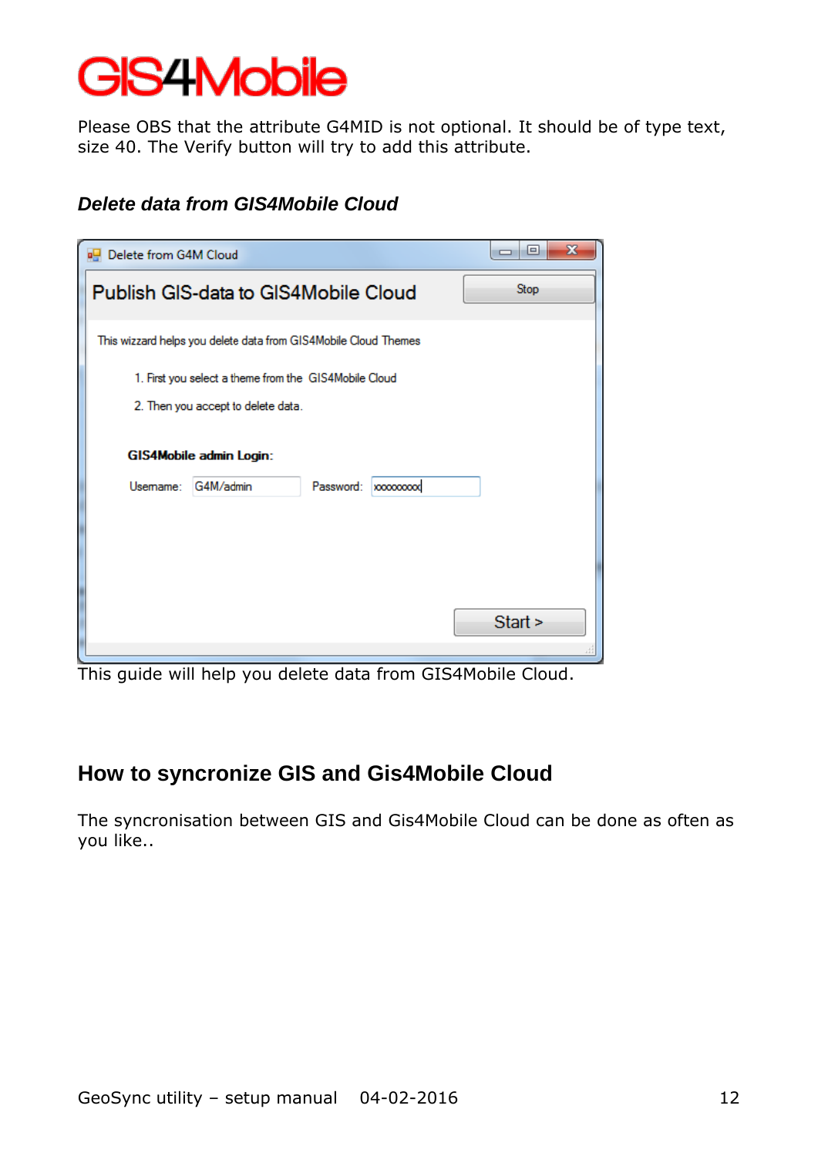Please OBS that the attribute G4MID is not optional. It should be of type text, size 40. The Verify button will try to add this attribute.

### *Delete data from GIS4Mobile Cloud*

| х<br>▣<br>$\Box$                                                |  |  |  |  |  |  |
|-----------------------------------------------------------------|--|--|--|--|--|--|
| Stop<br>Publish GIS-data to GIS4Mobile Cloud                    |  |  |  |  |  |  |
| This wizzard helps you delete data from GIS4Mobile Cloud Themes |  |  |  |  |  |  |
|                                                                 |  |  |  |  |  |  |
|                                                                 |  |  |  |  |  |  |
|                                                                 |  |  |  |  |  |  |
|                                                                 |  |  |  |  |  |  |
|                                                                 |  |  |  |  |  |  |
|                                                                 |  |  |  |  |  |  |
|                                                                 |  |  |  |  |  |  |
|                                                                 |  |  |  |  |  |  |
| Start >                                                         |  |  |  |  |  |  |
|                                                                 |  |  |  |  |  |  |

This guide will help you delete data from GIS4Mobile Cloud.

## **How to syncronize GIS and Gis4Mobile Cloud**

The syncronisation between GIS and Gis4Mobile Cloud can be done as often as you like..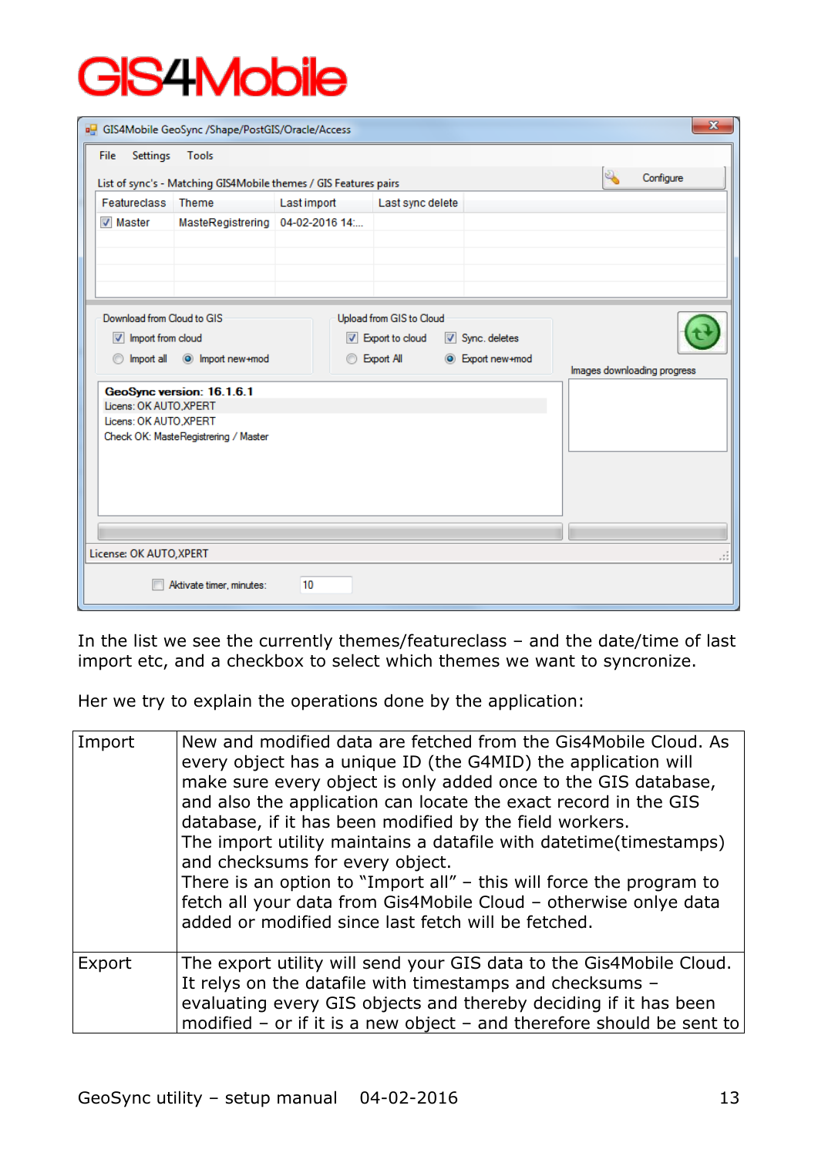|                                                                                                                       | GIS4Mobile GeoSync /Shape/PostGIS/Oracle/Access                                                                                                                                                                             |                |                  |  |  | $\mathbf{x}$ |
|-----------------------------------------------------------------------------------------------------------------------|-----------------------------------------------------------------------------------------------------------------------------------------------------------------------------------------------------------------------------|----------------|------------------|--|--|--------------|
| Settings<br>File                                                                                                      | Tools<br>List of sync's - Matching GIS4Mobile themes / GIS Features pairs                                                                                                                                                   |                |                  |  |  | Configure    |
| Featureclass Theme                                                                                                    |                                                                                                                                                                                                                             | Last import    | Last sync delete |  |  |              |
| <b>V</b> Master                                                                                                       | MasteRegistrering                                                                                                                                                                                                           | 04-02-2016 14: |                  |  |  |              |
| Import all<br>$\circledcirc$                                                                                          | Download from Cloud to GIS<br>Upload from GIS to Cloud<br>Import from cloud<br>Sync. deletes<br>$\triangledown$ Export to cloud<br><b>Export All</b><br>O Import new+mod<br>C Export new+mod<br>Images downloading progress |                |                  |  |  |              |
| GeoSync version: 16.1.6.1<br>Licens: OK AUTO .XPERT<br>Licens: OK AUTO, XPERT<br>Check OK: MasteRegistrering / Master |                                                                                                                                                                                                                             |                |                  |  |  |              |
|                                                                                                                       |                                                                                                                                                                                                                             |                |                  |  |  |              |
| License: OK AUTO, XPERT                                                                                               |                                                                                                                                                                                                                             |                |                  |  |  |              |
|                                                                                                                       | Aktivate timer, minutes:                                                                                                                                                                                                    | 10             |                  |  |  |              |

In the list we see the currently themes/featureclass – and the date/time of last import etc, and a checkbox to select which themes we want to syncronize.

Her we try to explain the operations done by the application:

| Import | New and modified data are fetched from the Gis4Mobile Cloud. As<br>every object has a unique ID (the G4MID) the application will<br>make sure every object is only added once to the GIS database,<br>and also the application can locate the exact record in the GIS<br>database, if it has been modified by the field workers.<br>The import utility maintains a datafile with datetime(timestamps)<br>and checksums for every object.<br>There is an option to "Import all" $-$ this will force the program to<br>fetch all your data from Gis4Mobile Cloud - otherwise onlye data<br>added or modified since last fetch will be fetched. |
|--------|----------------------------------------------------------------------------------------------------------------------------------------------------------------------------------------------------------------------------------------------------------------------------------------------------------------------------------------------------------------------------------------------------------------------------------------------------------------------------------------------------------------------------------------------------------------------------------------------------------------------------------------------|
| Export | The export utility will send your GIS data to the Gis4Mobile Cloud.<br>It relys on the datafile with timestamps and checksums -<br>evaluating every GIS objects and thereby deciding if it has been<br>modified – or if it is a new object – and therefore should be sent to                                                                                                                                                                                                                                                                                                                                                                 |